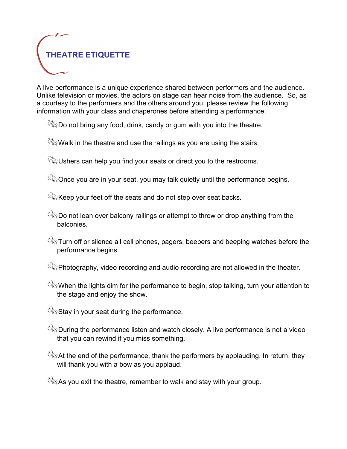

A live performance is a unique experience shared between performers and the audience. Unlike television or movies, the actors on stage can hear noise from the audience. So, as a courtesy to the performers and the others around you, please review the following information with your class and chaperones before attending a performance.

 $\mathbb{C}_{\mathbb{S}}$  Do not bring any food, drink, candy or gum with you into the theatre.

 $\mathbb{C}\$  Walk in the theatre and use the railings as you are using the stairs.

 $\mathbb{C}\$  Ushers can help you find your seats or direct you to the restrooms.

 $\mathbb{C}\$  Once you are in your seat, you may talk quietly until the performance begins.

 $\mathbb{C}\$ Keep your feet off the seats and do not step over seat backs.

- $\mathbb{G}$  Do not lean over balcony railings or attempt to throw or drop anything from the balconies.
- $\mathbb{C}$  Turn off or silence all cell phones, pagers, beepers and beeping watches before the performance begins.
- $\mathbb{G}_{\mathbb{Q}}$  Photography, video recording and audio recording are not allowed in the theater.
- When the lights dim for the performance to begin, stop talking, turn your attention to the stage and enjoy the show.
- $\mathbb{S}$  Stay in your seat during the performance.
- $\mathbb{G}_{\mathbb{Q}}$  During the performance listen and watch closely. A live performance is not a video that you can rewind if you miss something.
- $\mathbb{G}_{\mathbb{Q}}$  At the end of the performance, thank the performers by applauding. In return, they will thank you with a bow as you applaud.

 $\mathbb{C}_{\mathbb{Q}}$  As you exit the theatre, remember to walk and stay with your group.